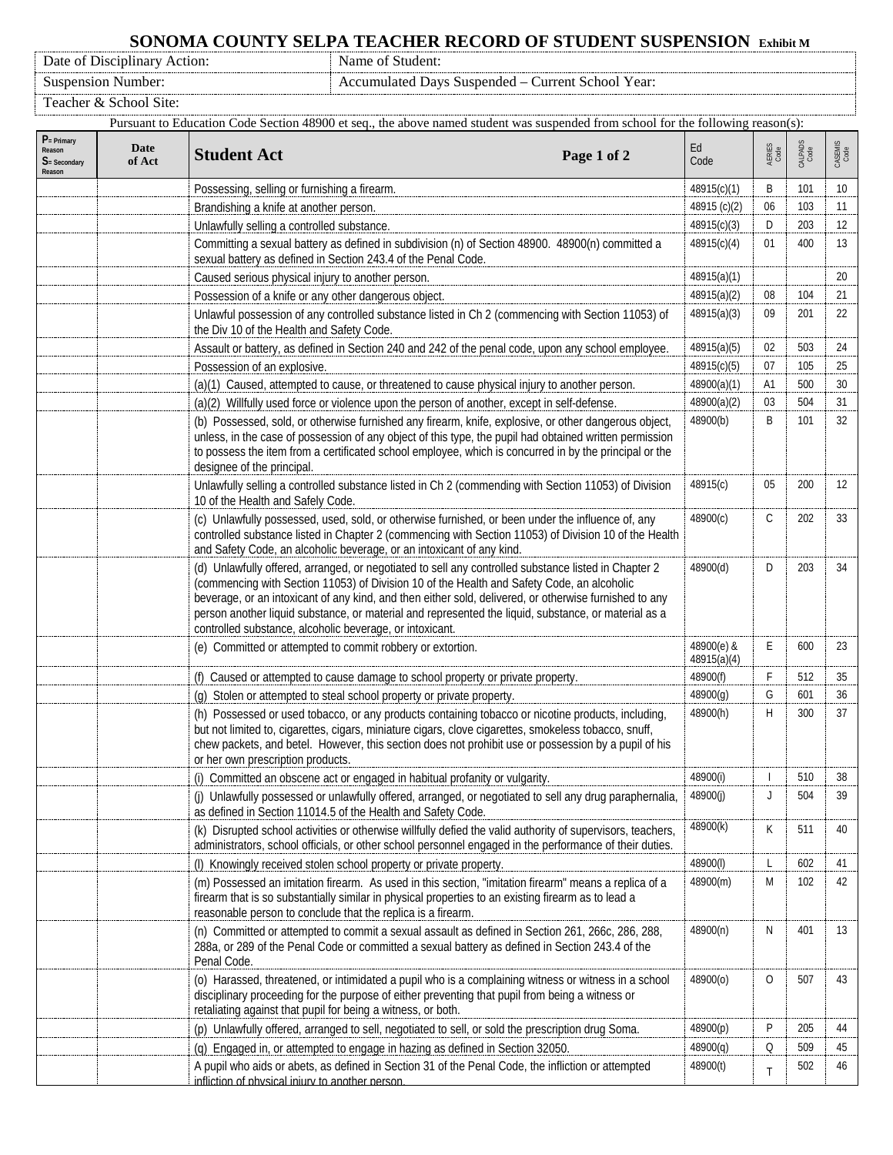## **SONOMA COUNTY SELPA TEACHER RECORD OF STUDENT SUSPENSION Exhibit M** Name of Student:

Date of Disciplinary Action:

Suspension Number: Accumulated Days Suspended – Current School Year:

Teacher & School Site:

| Pursuant to Education Code Section 48900 et seq., the above named student was suspended from school for the following reason(s): |                                                                                                                                                                                                                                                                         |                                                                                                                                                                                                                                                                                                                                                                                                                                                                                  |              |                          |                 |                 |
|----------------------------------------------------------------------------------------------------------------------------------|-------------------------------------------------------------------------------------------------------------------------------------------------------------------------------------------------------------------------------------------------------------------------|----------------------------------------------------------------------------------------------------------------------------------------------------------------------------------------------------------------------------------------------------------------------------------------------------------------------------------------------------------------------------------------------------------------------------------------------------------------------------------|--------------|--------------------------|-----------------|-----------------|
| $P = Primary$<br>Reason<br>$S =$ Secondary<br>Reason                                                                             | Date<br>of Act                                                                                                                                                                                                                                                          | <b>Student Act</b><br>Page 1 of 2                                                                                                                                                                                                                                                                                                                                                                                                                                                | Ed<br>Code   | AERIES<br>Code           | CALPADS<br>Code | CASEMIS<br>Code |
|                                                                                                                                  |                                                                                                                                                                                                                                                                         | Possessing, selling or furnishing a firearm.                                                                                                                                                                                                                                                                                                                                                                                                                                     | 48915(c)(1)  | B                        | 101             | 10              |
|                                                                                                                                  |                                                                                                                                                                                                                                                                         | Brandishing a knife at another person.                                                                                                                                                                                                                                                                                                                                                                                                                                           | 48915 (c)(2) | 06                       | 103             | 11              |
|                                                                                                                                  |                                                                                                                                                                                                                                                                         | Unlawfully selling a controlled substance.                                                                                                                                                                                                                                                                                                                                                                                                                                       | 48915(c)(3)  | D                        | 203             | 12              |
|                                                                                                                                  |                                                                                                                                                                                                                                                                         | Committing a sexual battery as defined in subdivision (n) of Section 48900. 48900(n) committed a<br>sexual battery as defined in Section 243.4 of the Penal Code.                                                                                                                                                                                                                                                                                                                |              | 01                       | 400             | 13              |
|                                                                                                                                  |                                                                                                                                                                                                                                                                         | Caused serious physical injury to another person.                                                                                                                                                                                                                                                                                                                                                                                                                                | 48915(a)(1)  |                          |                 | 20              |
|                                                                                                                                  |                                                                                                                                                                                                                                                                         | Possession of a knife or any other dangerous object.                                                                                                                                                                                                                                                                                                                                                                                                                             | 48915(a)(2)  | 08                       | 104             | 21              |
|                                                                                                                                  |                                                                                                                                                                                                                                                                         | Unlawful possession of any controlled substance listed in Ch 2 (commencing with Section 11053) of<br>the Div 10 of the Health and Safety Code.                                                                                                                                                                                                                                                                                                                                   | 48915(a)(3)  | 09                       | 201             | 22              |
|                                                                                                                                  |                                                                                                                                                                                                                                                                         | Assault or battery, as defined in Section 240 and 242 of the penal code, upon any school employee.                                                                                                                                                                                                                                                                                                                                                                               | 48915(a)(5)  | 02                       | 503             | 24              |
|                                                                                                                                  |                                                                                                                                                                                                                                                                         | Possession of an explosive.                                                                                                                                                                                                                                                                                                                                                                                                                                                      | 48915(c)(5)  | 07                       | 105             | 25              |
|                                                                                                                                  |                                                                                                                                                                                                                                                                         | (a)(1) Caused, attempted to cause, or threatened to cause physical injury to another person.                                                                                                                                                                                                                                                                                                                                                                                     | 48900(a)(1)  | A1                       | 500             | 30              |
|                                                                                                                                  |                                                                                                                                                                                                                                                                         | (a)(2) Willfully used force or violence upon the person of another, except in self-defense.                                                                                                                                                                                                                                                                                                                                                                                      | 48900(a)(2)  | 03                       | 504             | 31              |
|                                                                                                                                  |                                                                                                                                                                                                                                                                         | (b) Possessed, sold, or otherwise furnished any firearm, knife, explosive, or other dangerous object,<br>unless, in the case of possession of any object of this type, the pupil had obtained written permission<br>to possess the item from a certificated school employee, which is concurred in by the principal or the<br>designee of the principal.                                                                                                                         | 48900(b)     | B                        | 101             | 32              |
|                                                                                                                                  |                                                                                                                                                                                                                                                                         | Unlawfully selling a controlled substance listed in Ch 2 (commending with Section 11053) of Division<br>10 of the Health and Safely Code.                                                                                                                                                                                                                                                                                                                                        | 48915(c)     | 05                       | 200             | 12              |
|                                                                                                                                  |                                                                                                                                                                                                                                                                         | (c) Unlawfully possessed, used, sold, or otherwise furnished, or been under the influence of, any<br>controlled substance listed in Chapter 2 (commencing with Section 11053) of Division 10 of the Health<br>and Safety Code, an alcoholic beverage, or an intoxicant of any kind.                                                                                                                                                                                              | 48900(c)     | C                        | 202             | 33              |
|                                                                                                                                  |                                                                                                                                                                                                                                                                         | (d) Unlawfully offered, arranged, or negotiated to sell any controlled substance listed in Chapter 2<br>(commencing with Section 11053) of Division 10 of the Health and Safety Code, an alcoholic<br>beverage, or an intoxicant of any kind, and then either sold, delivered, or otherwise furnished to any<br>person another liquid substance, or material and represented the liquid, substance, or material as a<br>controlled substance, alcoholic beverage, or intoxicant. | 48900(d)     | D                        | 203             | 34              |
|                                                                                                                                  |                                                                                                                                                                                                                                                                         | (e) Committed or attempted to commit robbery or extortion.                                                                                                                                                                                                                                                                                                                                                                                                                       |              | E                        | 600             | 23              |
|                                                                                                                                  |                                                                                                                                                                                                                                                                         | (f) Caused or attempted to cause damage to school property or private property.                                                                                                                                                                                                                                                                                                                                                                                                  | 48900(f)     | F                        | 512             | 35              |
|                                                                                                                                  |                                                                                                                                                                                                                                                                         | (g) Stolen or attempted to steal school property or private property.                                                                                                                                                                                                                                                                                                                                                                                                            | 48900(g)     | G                        | 601             | 36              |
|                                                                                                                                  |                                                                                                                                                                                                                                                                         | (h) Possessed or used tobacco, or any products containing tobacco or nicotine products, including,<br>but not limited to, cigarettes, cigars, miniature cigars, clove cigarettes, smokeless tobacco, snuff,<br>chew packets, and betel. However, this section does not prohibit use or possession by a pupil of his<br>or her own prescription products.                                                                                                                         | 48900(h)     | Н                        | 300             | 37              |
|                                                                                                                                  |                                                                                                                                                                                                                                                                         | (i) Committed an obscene act or engaged in habitual profanity or vulgarity.                                                                                                                                                                                                                                                                                                                                                                                                      | 48900(i)     | $\overline{\phantom{a}}$ | 510             | 38              |
|                                                                                                                                  |                                                                                                                                                                                                                                                                         | (j) Unlawfully possessed or unlawfully offered, arranged, or negotiated to sell any drug paraphernalia,<br>as defined in Section 11014.5 of the Health and Safety Code.                                                                                                                                                                                                                                                                                                          | 48900(j)     | J                        | 504             | 39              |
|                                                                                                                                  | (k) Disrupted school activities or otherwise willfully defied the valid authority of supervisors, teachers,<br>administrators, school officials, or other school personnel engaged in the performance of their duties.                                                  |                                                                                                                                                                                                                                                                                                                                                                                                                                                                                  | 48900(k)     | К                        | 511             | 40              |
|                                                                                                                                  |                                                                                                                                                                                                                                                                         | (I) Knowingly received stolen school property or private property.                                                                                                                                                                                                                                                                                                                                                                                                               | 48900(I)     | L                        | 602             | 41              |
|                                                                                                                                  |                                                                                                                                                                                                                                                                         | (m) Possessed an imitation firearm. As used in this section, "imitation firearm" means a replica of a<br>firearm that is so substantially similar in physical properties to an existing firearm as to lead a<br>reasonable person to conclude that the replica is a firearm.                                                                                                                                                                                                     | 48900(m)     | M                        | 102             | 42              |
|                                                                                                                                  |                                                                                                                                                                                                                                                                         | (n) Committed or attempted to commit a sexual assault as defined in Section 261, 266c, 286, 288,<br>288a, or 289 of the Penal Code or committed a sexual battery as defined in Section 243.4 of the<br>Penal Code.                                                                                                                                                                                                                                                               | 48900(n)     | N                        | 401             | 13              |
|                                                                                                                                  | (o) Harassed, threatened, or intimidated a pupil who is a complaining witness or witness in a school<br>disciplinary proceeding for the purpose of either preventing that pupil from being a witness or<br>retaliating against that pupil for being a witness, or both. |                                                                                                                                                                                                                                                                                                                                                                                                                                                                                  | 48900(o)     | 0                        | 507             | 43              |
|                                                                                                                                  |                                                                                                                                                                                                                                                                         | (p) Unlawfully offered, arranged to sell, negotiated to sell, or sold the prescription drug Soma.                                                                                                                                                                                                                                                                                                                                                                                | 48900(p)     | P                        | 205             | 44              |
|                                                                                                                                  |                                                                                                                                                                                                                                                                         | (q) Engaged in, or attempted to engage in hazing as defined in Section 32050.                                                                                                                                                                                                                                                                                                                                                                                                    | 48900(q)     | Q                        | 509             | 45              |
|                                                                                                                                  |                                                                                                                                                                                                                                                                         | A pupil who aids or abets, as defined in Section 31 of the Penal Code, the infliction or attempted<br>infliction of physical injury to another person.                                                                                                                                                                                                                                                                                                                           | 48900(t)     | T                        | 502             | 46              |